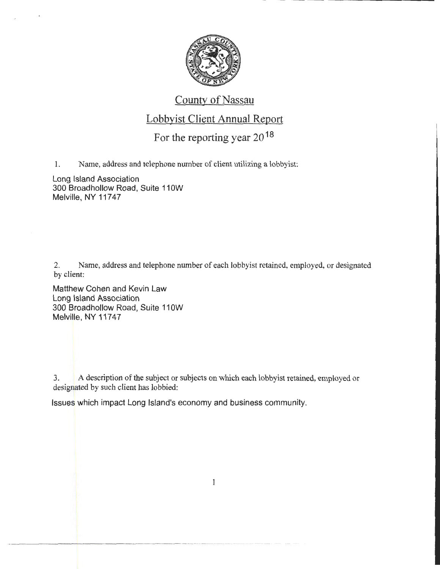

#### County of Nassau

## Lobbyist Client Annual Report

# For the reporting year 20 18

1. Name, address and telephone number of client utilizing a lobbyist:

Long Island Association 300 Broadhollow Road, Suite 110W Melville, NY 11747

2. Name, address and telephone number of each lobbyist retained, employed, or designated by client:

Matthew Cohen and Kevin Law Long Island Association 300 Broadhollow Road, Suite 11 OW Melville, NY 11747

- ----------------· ----··-----··········-········

3. A description of the subject or subjects on which each lobbyist retained, employed or designated by such client has lobbied:

Issues which impact Long Island's economy and business community.

1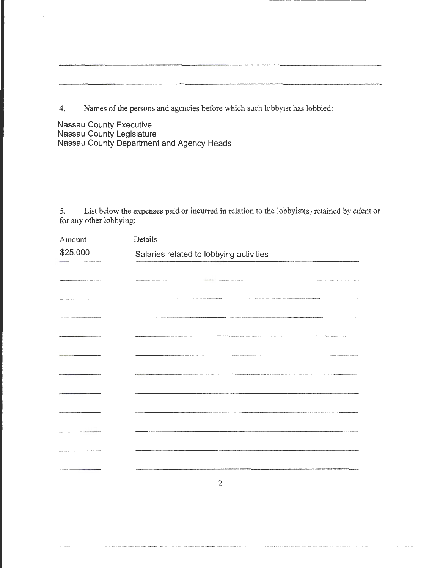4. Names of the persons and agencies before which such lobbyist has lobbied:

Nassau County Executive Nassau County Legislature Nassau County Department and Agency Heads

5. List below the expenses paid or incurred in relation to the lobbyist( s) retained by client or for any other lobbying:

| Amount   | Details                                 |
|----------|-----------------------------------------|
| \$25,000 | Salaries related to lobbying activities |
|          |                                         |
|          |                                         |
|          |                                         |
|          |                                         |
|          |                                         |
|          |                                         |
|          |                                         |
|          |                                         |
|          |                                         |
|          |                                         |
|          |                                         |
|          |                                         |
|          |                                         |
|          |                                         |
|          |                                         |

2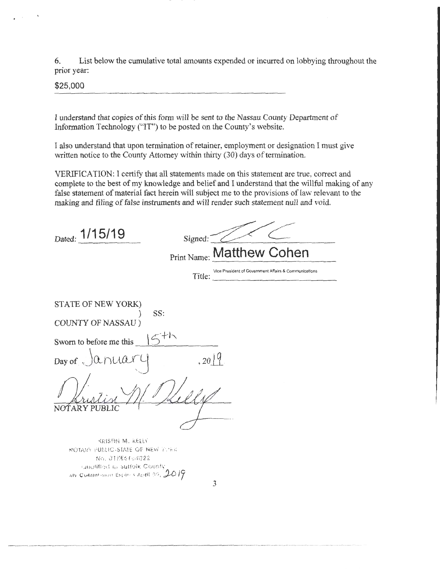6. List below the cumulative total amounts expended or incurred on lobbying throughout the prior year:

\$25,000

I understand that copies of *this* form will be sent to the Nassau County Department of Information Technology (''IT") to be posted on the County's website.

I also understand that upon termination of retainer, employment or designation I must give written notice to the County Attorney within thirty (30) days of termination.

VERIFICATION: I certify that all statements made on this statement are true, correct and complete to the best of my knowledge and belief and I understand that the willful making of any false statement of material fact herein will subject me to the provisions of law relevant to the making and filing of false instruments and will render such statement null and void.

| Dated: 1/15/19<br>Signed:<br>Print Name: Matthew Cohen<br>Vice President of Government Affairs & Communications<br>Title: |
|---------------------------------------------------------------------------------------------------------------------------|
|                                                                                                                           |
| STATE OF NEW YORK)                                                                                                        |
| SS:                                                                                                                       |
| COUNTY OF NASSAU)                                                                                                         |
| Sworn to before me this                                                                                                   |
| , 2019<br>Day of                                                                                                          |
| NOTARY PUBLIC                                                                                                             |
|                                                                                                                           |
| KRISTIN M. KELLY<br>NOTARY PUBLIC-STATE OF NEW YORK<br>No. 01EE6164022                                                    |
| Caudified in Suffolk County                                                                                               |

3

1·1y CQi111l\l,Sh.ll\ !:XPihH April 09, *j\_\_o* 17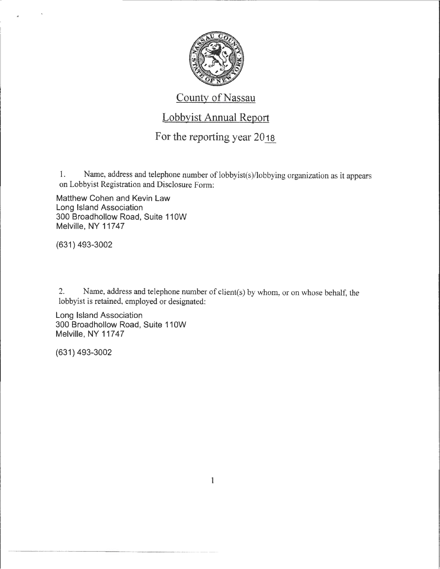

#### County of Nassau

#### Lobbyist Annual Report

### For the reporting year 20<sub>18</sub>

1. Name, address and telephone number of lobbyist(s)/lobbying organization as it appears on Lobbyist Registration and Disclosure Form:

Matthew Cohen and Kevin Law Long Island Association 300 Broadhollow Road, Suite 110W Melville, NY 11747

(631) 493-3002

2. Name, address and telephone number of client(s) by whom, or on whose behalf, the lobbyist is retained, employed or designated:

Long Island Association 300 Broadhollow Road, Suite 110W Melville, NY 11747

(631) 493-3002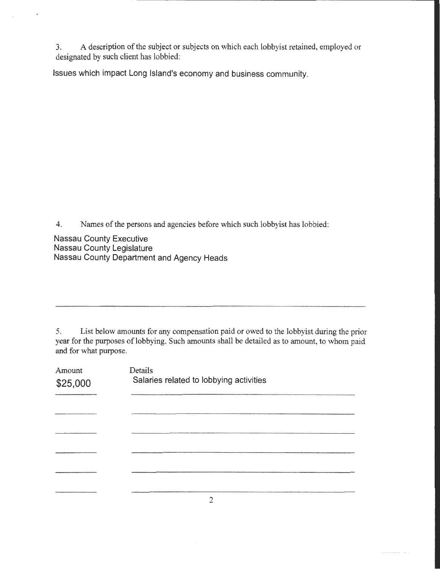3. A description of the subject or subjects on which each lobbyist retained, employed or designated by such client has lobbied:

Issues which impact Long Island's economy and business community.

4. Names of the persons and agencies before which such lobbyist has lobbied:

Nassau County Executive Nassau County Legislature Nassau County Department and Agency Heads

5. List below amounts for any compensation paid or owed to the lobbyist during the prior year for the purposes of lobbying. Such amounts shall be detailed as to amount, to whom paid and for what purpose.

| Amount<br>\$25,000 | Details<br>Salaries related to lobbying activities |
|--------------------|----------------------------------------------------|
|                    |                                                    |
|                    |                                                    |
|                    |                                                    |
|                    |                                                    |
|                    |                                                    |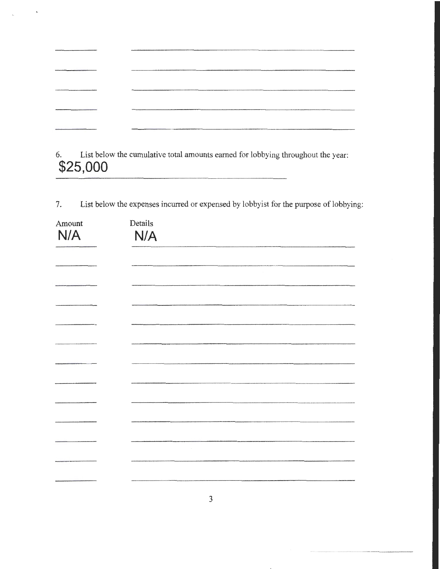| TO DO DE DE DE DESEMBORADO DE MARCA EL DISTINADO DE MARCA EL DISTINADO DE MARCA EL DISTINADO DE MARCA EL DISTINADO DE MARCA EL DISTINADO DE MARCA EL DISTINADO DE MARCA EL DISTINADO DE MARCA EL DISTINADO DE MARCA EL DISTINA |  |
|--------------------------------------------------------------------------------------------------------------------------------------------------------------------------------------------------------------------------------|--|
|                                                                                                                                                                                                                                |  |
|                                                                                                                                                                                                                                |  |
|                                                                                                                                                                                                                                |  |
|                                                                                                                                                                                                                                |  |

 $\ddot{\phantom{0}}$ 

6. List below the cumulative total amounts earned for lobbying throughout the year: **\$25,000** 

7. List below the expenses incurred or expensed by lobbyist for the purpose of lobbying:

| Amount | Details |
|--------|---------|
| N/A    | N/A     |
|        |         |
|        |         |
|        |         |
|        |         |
|        |         |
|        |         |
|        |         |
|        |         |
|        |         |
|        |         |
|        |         |
|        |         |
|        |         |

............................. \_ ................ --... -. - - ---